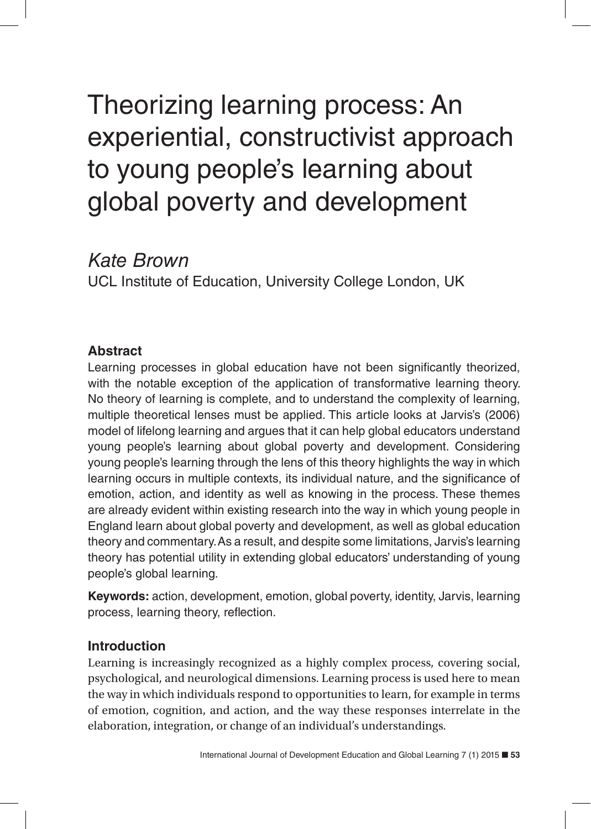# Theorizing learning process: An experiential, constructivist approach to young people's learning about global poverty and development

# *Kate Brown*

UCL Institute of Education, University College London, UK

# **Abstract**

Learning processes in global education have not been significantly theorized, with the notable exception of the application of transformative learning theory. No theory of learning is complete, and to understand the complexity of learning, multiple theoretical lenses must be applied. This article looks at Jarvis's (2006) model of lifelong learning and argues that it can help global educators understand young people's learning about global poverty and development. Considering young people's learning through the lens of this theory highlights the way in which learning occurs in multiple contexts, its individual nature, and the significance of emotion, action, and identity as well as knowing in the process. These themes are already evident within existing research into the way in which young people in England learn about global poverty and development, as well as global education theory and commentary. As a result, and despite some limitations, Jarvis's learning theory has potential utility in extending global educators' understanding of young people's global learning.

**Keywords:** action, development, emotion, global poverty, identity, Jarvis, learning process, learning theory, reflection.

# **Introduction**

Learning is increasingly recognized as a highly complex process, covering social, psychological, and neurological dimensions. Learning process is used here to mean the way in which individuals respond to opportunities to learn, for example in terms of emotion, cognition, and action, and the way these responses interrelate in the elaboration, integration, or change of an individual's understandings.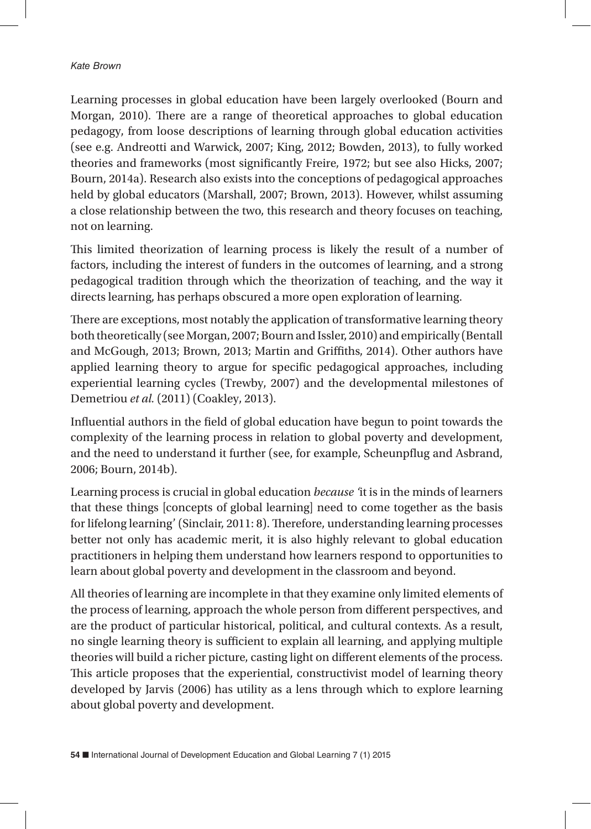Learning processes in global education have been largely overlooked (Bourn and Morgan, 2010). There are a range of theoretical approaches to global education pedagogy, from loose descriptions of learning through global education activities (see e.g. Andreotti and Warwick, 2007; King, 2012; Bowden, 2013), to fully worked theories and frameworks (most significantly Freire, 1972; but see also Hicks, 2007; Bourn, 2014a). Research also exists into the conceptions of pedagogical approaches held by global educators (Marshall, 2007; Brown, 2013). However, whilst assuming a close relationship between the two, this research and theory focuses on teaching, not on learning.

This limited theorization of learning process is likely the result of a number of factors, including the interest of funders in the outcomes of learning, and a strong pedagogical tradition through which the theorization of teaching, and the way it directs learning, has perhaps obscured a more open exploration of learning.

There are exceptions, most notably the application of transformative learning theory both theoretically (see Morgan, 2007; Bourn and Issler, 2010) and empirically (Bentall and McGough, 2013; Brown, 2013; Martin and Griffiths, 2014). Other authors have applied learning theory to argue for specific pedagogical approaches, including experiential learning cycles (Trewby, 2007) and the developmental milestones of Demetriou *et al.* (2011) (Coakley, 2013).

Influential authors in the field of global education have begun to point towards the complexity of the learning process in relation to global poverty and development, and the need to understand it further (see, for example, Scheunpflug and Asbrand, 2006; Bourn, 2014b).

Learning process is crucial in global education *because '*it is in the minds of learners that these things [concepts of global learning] need to come together as the basis for lifelong learning' (Sinclair, 2011: 8). Therefore, understanding learning processes better not only has academic merit, it is also highly relevant to global education practitioners in helping them understand how learners respond to opportunities to learn about global poverty and development in the classroom and beyond.

All theories of learning are incomplete in that they examine only limited elements of the process of learning, approach the whole person from different perspectives, and are the product of particular historical, political, and cultural contexts. As a result, no single learning theory is sufficient to explain all learning, and applying multiple theories will build a richer picture, casting light on different elements of the process. This article proposes that the experiential, constructivist model of learning theory developed by Jarvis (2006) has utility as a lens through which to explore learning about global poverty and development.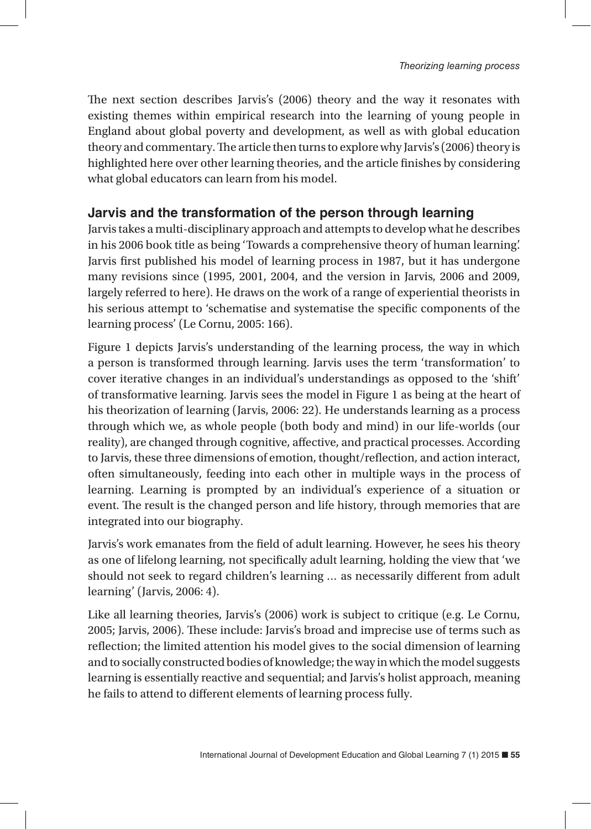The next section describes Jarvis's (2006) theory and the way it resonates with existing themes within empirical research into the learning of young people in England about global poverty and development, as well as with global education theory and commentary. The article then turns to explore why Jarvis's (2006) theory is highlighted here over other learning theories, and the article finishes by considering what global educators can learn from his model.

# **Jarvis and the transformation of the person through learning**

Jarvis takes a multi-disciplinary approach and attempts to develop what he describes in his 2006 book title as being 'Towards a comprehensive theory of human learning'. Jarvis first published his model of learning process in 1987, but it has undergone many revisions since (1995, 2001, 2004, and the version in Jarvis, 2006 and 2009, largely referred to here). He draws on the work of a range of experiential theorists in his serious attempt to 'schematise and systematise the specific components of the learning process' (Le Cornu, 2005: 166).

Figure 1 depicts Jarvis's understanding of the learning process, the way in which a person is transformed through learning. Jarvis uses the term 'transformation' to cover iterative changes in an individual's understandings as opposed to the 'shift' of transformative learning. Jarvis sees the model in Figure 1 as being at the heart of his theorization of learning (Jarvis, 2006: 22). He understands learning as a process through which we, as whole people (both body and mind) in our life-worlds (our reality), are changed through cognitive, affective, and practical processes. According to Jarvis, these three dimensions of emotion, thought/reflection, and action interact, often simultaneously, feeding into each other in multiple ways in the process of learning. Learning is prompted by an individual's experience of a situation or event. The result is the changed person and life history, through memories that are integrated into our biography.

Jarvis's work emanates from the field of adult learning. However, he sees his theory as one of lifelong learning, not specifically adult learning, holding the view that 'we should not seek to regard children's learning … as necessarily different from adult learning' (Jarvis, 2006: 4).

Like all learning theories, Jarvis's (2006) work is subject to critique (e.g. Le Cornu, 2005; Jarvis, 2006). These include: Jarvis's broad and imprecise use of terms such as reflection; the limited attention his model gives to the social dimension of learning and to socially constructed bodies of knowledge; the way in which the model suggests learning is essentially reactive and sequential; and Jarvis's holist approach, meaning he fails to attend to different elements of learning process fully.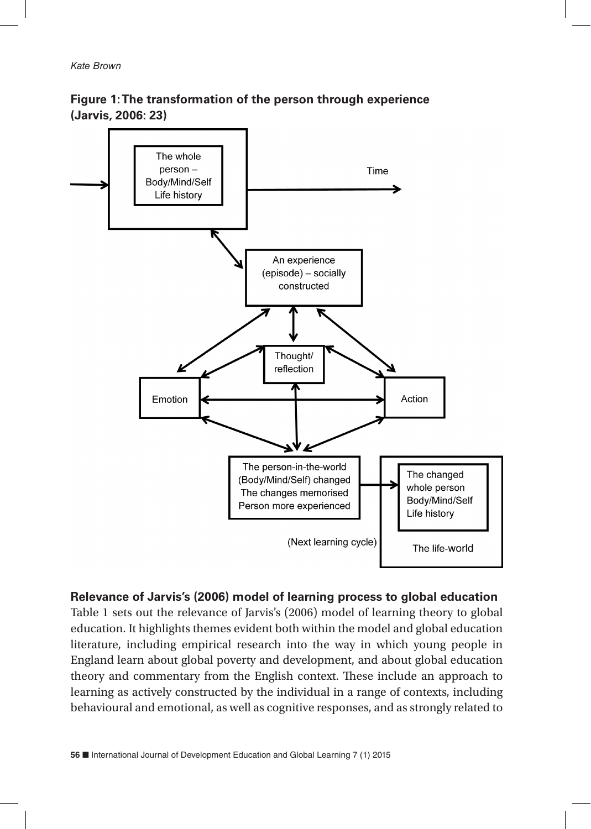



#### **Relevance of Jarvis's (2006) model of learning process to global education**

Table 1 sets out the relevance of Jarvis's (2006) model of learning theory to global education. It highlights themes evident both within the model and global education literature, including empirical research into the way in which young people in England learn about global poverty and development, and about global education theory and commentary from the English context. These include an approach to learning as actively constructed by the individual in a range of contexts, including behavioural and emotional, as well as cognitive responses, and as strongly related to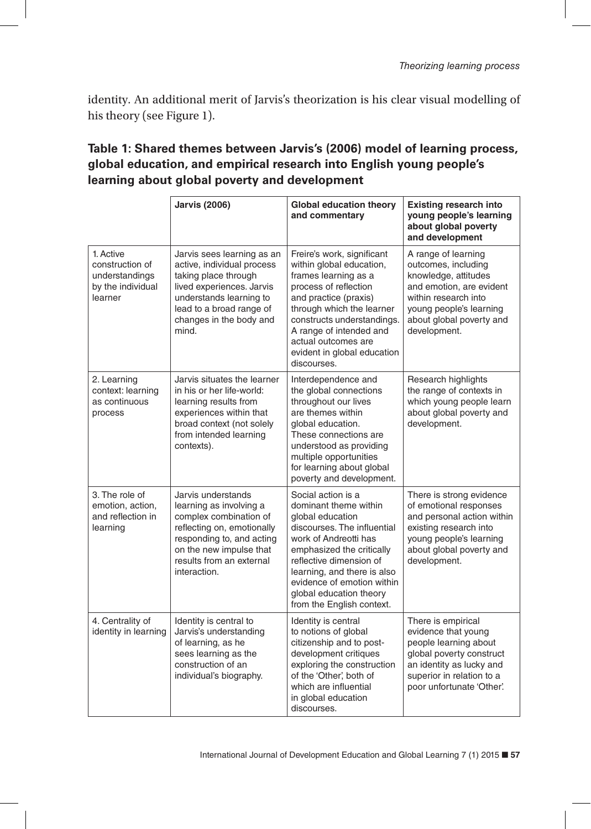identity. An additional merit of Jarvis's theorization is his clear visual modelling of his theory (see Figure 1).

# **Table 1: Shared themes between Jarvis's (2006) model of learning process, global education, and empirical research into English young people's learning about global poverty and development**

|                                                                                | <b>Jarvis (2006)</b>                                                                                                                                                                                      | <b>Global education theory</b><br>and commentary                                                                                                                                                                                                                                                     | <b>Existing research into</b><br>young people's learning<br>about global poverty<br>and development                                                                                           |
|--------------------------------------------------------------------------------|-----------------------------------------------------------------------------------------------------------------------------------------------------------------------------------------------------------|------------------------------------------------------------------------------------------------------------------------------------------------------------------------------------------------------------------------------------------------------------------------------------------------------|-----------------------------------------------------------------------------------------------------------------------------------------------------------------------------------------------|
| 1. Active<br>construction of<br>understandings<br>by the individual<br>learner | Jarvis sees learning as an<br>active, individual process<br>taking place through<br>lived experiences. Jarvis<br>understands learning to<br>lead to a broad range of<br>changes in the body and<br>mind.  | Freire's work, significant<br>within global education,<br>frames learning as a<br>process of reflection<br>and practice (praxis)<br>through which the learner<br>constructs understandings.<br>A range of intended and<br>actual outcomes are<br>evident in global education<br>discourses.          | A range of learning<br>outcomes, including<br>knowledge, attitudes<br>and emotion, are evident<br>within research into<br>young people's learning<br>about global poverty and<br>development. |
| 2. Learning<br>context: learning<br>as continuous<br>process                   | Jarvis situates the learner<br>in his or her life-world:<br>learning results from<br>experiences within that<br>broad context (not solely<br>from intended learning<br>contexts).                         | Interdependence and<br>the global connections<br>throughout our lives<br>are themes within<br>global education.<br>These connections are<br>understood as providing<br>multiple opportunities<br>for learning about global<br>poverty and development.                                               | Research highlights<br>the range of contexts in<br>which young people learn<br>about global poverty and<br>development.                                                                       |
| 3. The role of<br>emotion, action.<br>and reflection in<br>learning            | Jarvis understands<br>learning as involving a<br>complex combination of<br>reflecting on, emotionally<br>responding to, and acting<br>on the new impulse that<br>results from an external<br>interaction. | Social action is a<br>dominant theme within<br>global education<br>discourses. The influential<br>work of Andreotti has<br>emphasized the critically<br>reflective dimension of<br>learning, and there is also<br>evidence of emotion within<br>global education theory<br>from the English context. | There is strong evidence<br>of emotional responses<br>and personal action within<br>existing research into<br>young people's learning<br>about global poverty and<br>development.             |
| 4. Centrality of<br>identity in learning                                       | Identity is central to<br>Jarvis's understanding<br>of learning, as he<br>sees learning as the<br>construction of an<br>individual's biography.                                                           | Identity is central<br>to notions of global<br>citizenship and to post-<br>development critiques<br>exploring the construction<br>of the 'Other' both of<br>which are influential<br>in global education<br>discourses.                                                                              | There is empirical<br>evidence that young<br>people learning about<br>global poverty construct<br>an identity as lucky and<br>superior in relation to a<br>poor unfortunate 'Other'.          |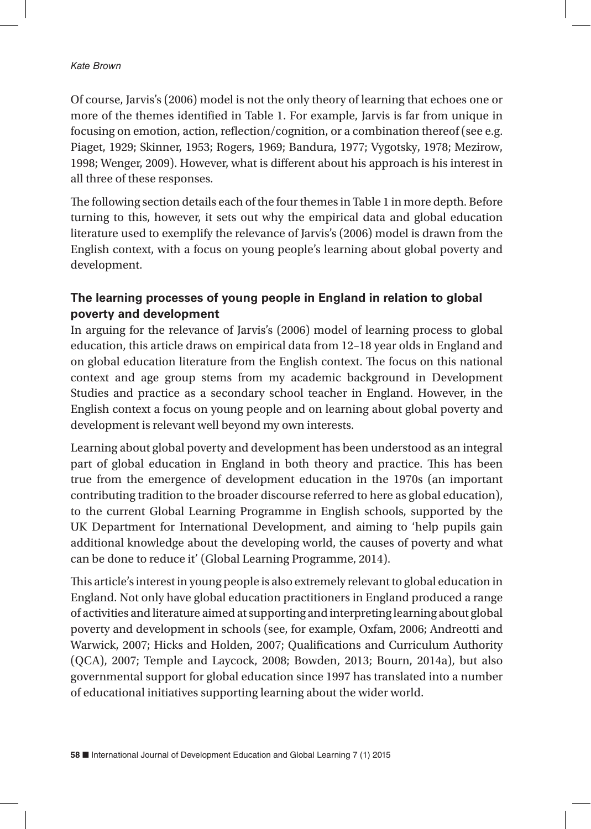Of course, Jarvis's (2006) model is not the only theory of learning that echoes one or more of the themes identified in Table 1. For example, Jarvis is far from unique in focusing on emotion, action, reflection/cognition, or a combination thereof (see e.g. Piaget, 1929; Skinner, 1953; Rogers, 1969; Bandura, 1977; Vygotsky, 1978; Mezirow, 1998; Wenger, 2009). However, what is different about his approach is his interest in all three of these responses.

The following section details each of the four themes in Table 1 in more depth. Before turning to this, however, it sets out why the empirical data and global education literature used to exemplify the relevance of Jarvis's (2006) model is drawn from the English context, with a focus on young people's learning about global poverty and development.

# **The learning processes of young people in England in relation to global poverty and development**

In arguing for the relevance of Jarvis's (2006) model of learning process to global education, this article draws on empirical data from 12–18 year olds in England and on global education literature from the English context. The focus on this national context and age group stems from my academic background in Development Studies and practice as a secondary school teacher in England. However, in the English context a focus on young people and on learning about global poverty and development is relevant well beyond my own interests.

Learning about global poverty and development has been understood as an integral part of global education in England in both theory and practice. This has been true from the emergence of development education in the 1970s (an important contributing tradition to the broader discourse referred to here as global education), to the current Global Learning Programme in English schools, supported by the UK Department for International Development, and aiming to 'help pupils gain additional knowledge about the developing world, the causes of poverty and what can be done to reduce it' (Global Learning Programme, 2014).

This article's interest in young people is also extremely relevant to global education in England. Not only have global education practitioners in England produced a range of activities and literature aimed at supporting and interpreting learning about global poverty and development in schools (see, for example, Oxfam, 2006; Andreotti and Warwick, 2007; Hicks and Holden, 2007; Qualifications and Curriculum Authority (QCA), 2007; Temple and Laycock, 2008; Bowden, 2013; Bourn, 2014a), but also governmental support for global education since 1997 has translated into a number of educational initiatives supporting learning about the wider world.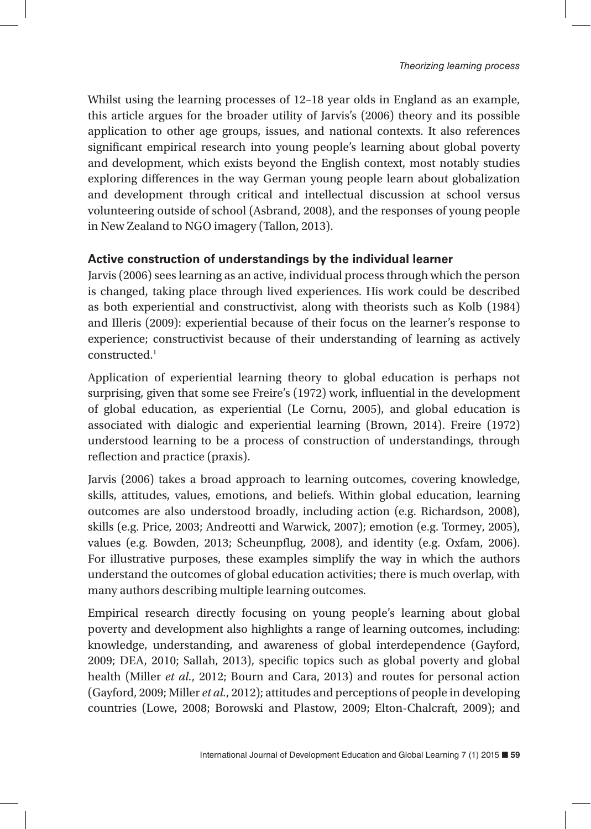Whilst using the learning processes of 12–18 year olds in England as an example, this article argues for the broader utility of Jarvis's (2006) theory and its possible application to other age groups, issues, and national contexts. It also references significant empirical research into young people's learning about global poverty and development, which exists beyond the English context, most notably studies exploring differences in the way German young people learn about globalization and development through critical and intellectual discussion at school versus volunteering outside of school (Asbrand, 2008), and the responses of young people in New Zealand to NGO imagery (Tallon, 2013).

#### **Active construction of understandings by the individual learner**

Jarvis (2006) sees learning as an active, individual process through which the person is changed, taking place through lived experiences. His work could be described as both experiential and constructivist, along with theorists such as Kolb (1984) and Illeris (2009): experiential because of their focus on the learner's response to experience; constructivist because of their understanding of learning as actively constructed.1

Application of experiential learning theory to global education is perhaps not surprising, given that some see Freire's (1972) work, influential in the development of global education, as experiential (Le Cornu, 2005), and global education is associated with dialogic and experiential learning (Brown, 2014). Freire (1972) understood learning to be a process of construction of understandings, through reflection and practice (praxis).

Jarvis (2006) takes a broad approach to learning outcomes, covering knowledge, skills, attitudes, values, emotions, and beliefs. Within global education, learning outcomes are also understood broadly, including action (e.g. Richardson, 2008), skills (e.g. Price, 2003; Andreotti and Warwick, 2007); emotion (e.g. Tormey, 2005), values (e.g. Bowden, 2013; Scheunpflug, 2008), and identity (e.g. Oxfam, 2006). For illustrative purposes, these examples simplify the way in which the authors understand the outcomes of global education activities; there is much overlap, with many authors describing multiple learning outcomes.

Empirical research directly focusing on young people's learning about global poverty and development also highlights a range of learning outcomes, including: knowledge, understanding, and awareness of global interdependence (Gayford, 2009; DEA, 2010; Sallah, 2013), specific topics such as global poverty and global health (Miller *et al.*, 2012; Bourn and Cara, 2013) and routes for personal action (Gayford, 2009; Miller *et al.*, 2012); attitudes and perceptions of people in developing countries (Lowe, 2008; Borowski and Plastow, 2009; Elton-Chalcraft, 2009); and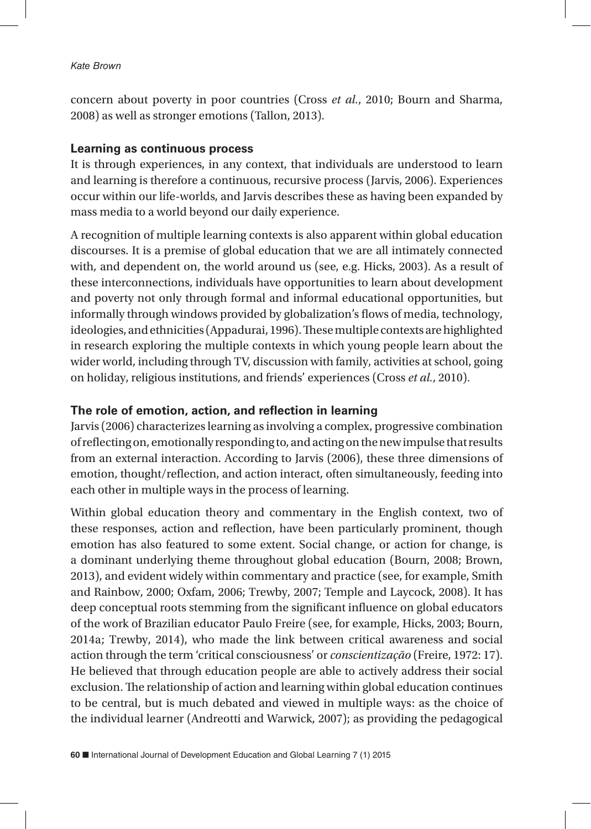concern about poverty in poor countries (Cross *et al.*, 2010; Bourn and Sharma, 2008) as well as stronger emotions (Tallon, 2013).

#### **Learning as continuous process**

It is through experiences, in any context, that individuals are understood to learn and learning is therefore a continuous, recursive process (Jarvis, 2006). Experiences occur within our life-worlds, and Jarvis describes these as having been expanded by mass media to a world beyond our daily experience.

A recognition of multiple learning contexts is also apparent within global education discourses. It is a premise of global education that we are all intimately connected with, and dependent on, the world around us (see, e.g. Hicks, 2003). As a result of these interconnections, individuals have opportunities to learn about development and poverty not only through formal and informal educational opportunities, but informally through windows provided by globalization's flows of media, technology, ideologies, and ethnicities (Appadurai, 1996). These multiple contexts are highlighted in research exploring the multiple contexts in which young people learn about the wider world, including through TV, discussion with family, activities at school, going on holiday, religious institutions, and friends' experiences (Cross *et al.*, 2010).

#### **The role of emotion, action, and reflection in learning**

Jarvis (2006) characterizes learning as involving a complex, progressive combination of reflecting on, emotionally responding to, and acting on the new impulse that results from an external interaction. According to Jarvis (2006), these three dimensions of emotion, thought/reflection, and action interact, often simultaneously, feeding into each other in multiple ways in the process of learning.

Within global education theory and commentary in the English context, two of these responses, action and reflection, have been particularly prominent, though emotion has also featured to some extent. Social change, or action for change, is a dominant underlying theme throughout global education (Bourn, 2008; Brown, 2013), and evident widely within commentary and practice (see, for example, Smith and Rainbow, 2000; Oxfam, 2006; Trewby, 2007; Temple and Laycock, 2008). It has deep conceptual roots stemming from the significant influence on global educators of the work of Brazilian educator Paulo Freire (see, for example, Hicks, 2003; Bourn, 2014a; Trewby, 2014), who made the link between critical awareness and social action through the term 'critical consciousness' or *conscientização* (Freire, 1972: 17). He believed that through education people are able to actively address their social exclusion. The relationship of action and learning within global education continues to be central, but is much debated and viewed in multiple ways: as the choice of the individual learner (Andreotti and Warwick, 2007); as providing the pedagogical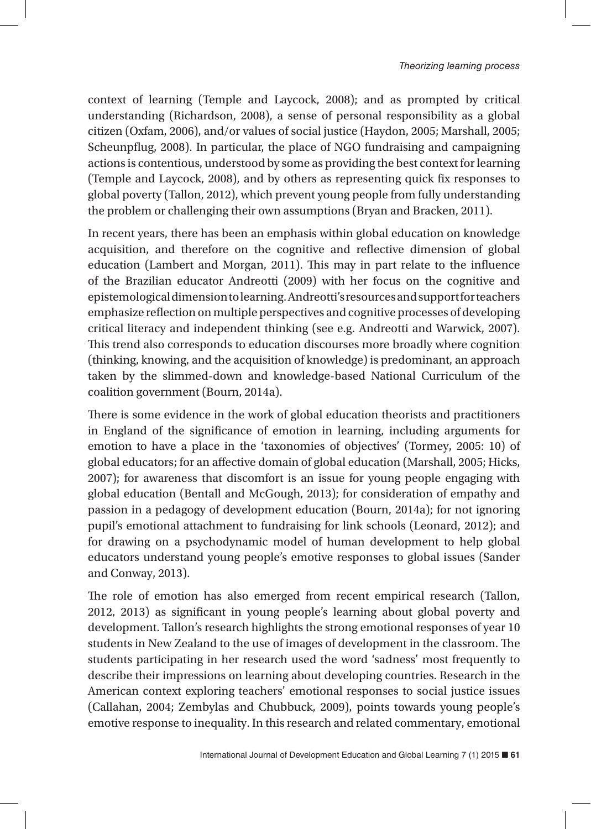context of learning (Temple and Laycock, 2008); and as prompted by critical understanding (Richardson, 2008), a sense of personal responsibility as a global citizen (Oxfam, 2006), and/or values of social justice (Haydon, 2005; Marshall, 2005; Scheunpflug, 2008). In particular, the place of NGO fundraising and campaigning actions is contentious, understood by some as providing the best context for learning (Temple and Laycock, 2008), and by others as representing quick fix responses to global poverty (Tallon, 2012), which prevent young people from fully understanding the problem or challenging their own assumptions (Bryan and Bracken, 2011).

In recent years, there has been an emphasis within global education on knowledge acquisition, and therefore on the cognitive and reflective dimension of global education (Lambert and Morgan, 2011). This may in part relate to the influence of the Brazilian educator Andreotti (2009) with her focus on the cognitive and epistemological dimension to learning. Andreotti's resources and support for teachers emphasize reflection on multiple perspectives and cognitive processes of developing critical literacy and independent thinking (see e.g. Andreotti and Warwick, 2007). This trend also corresponds to education discourses more broadly where cognition (thinking, knowing, and the acquisition of knowledge) is predominant, an approach taken by the slimmed-down and knowledge-based National Curriculum of the coalition government (Bourn, 2014a).

There is some evidence in the work of global education theorists and practitioners in England of the significance of emotion in learning, including arguments for emotion to have a place in the 'taxonomies of objectives' (Tormey, 2005: 10) of global educators; for an affective domain of global education (Marshall, 2005; Hicks, 2007); for awareness that discomfort is an issue for young people engaging with global education (Bentall and McGough, 2013); for consideration of empathy and passion in a pedagogy of development education (Bourn, 2014a); for not ignoring pupil's emotional attachment to fundraising for link schools (Leonard, 2012); and for drawing on a psychodynamic model of human development to help global educators understand young people's emotive responses to global issues (Sander and Conway, 2013).

The role of emotion has also emerged from recent empirical research (Tallon, 2012, 2013) as significant in young people's learning about global poverty and development. Tallon's research highlights the strong emotional responses of year 10 students in New Zealand to the use of images of development in the classroom. The students participating in her research used the word 'sadness' most frequently to describe their impressions on learning about developing countries. Research in the American context exploring teachers' emotional responses to social justice issues (Callahan, 2004; Zembylas and Chubbuck, 2009), points towards young people's emotive response to inequality. In this research and related commentary, emotional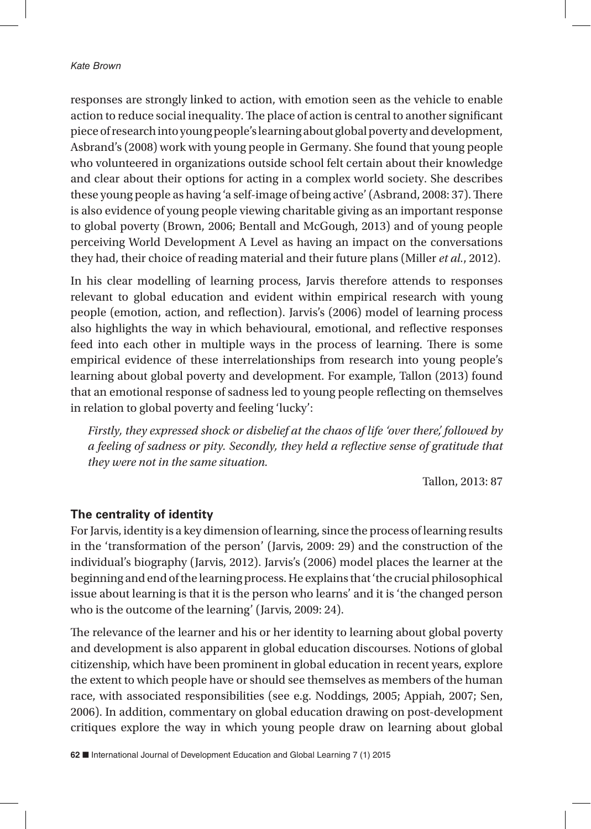responses are strongly linked to action, with emotion seen as the vehicle to enable action to reduce social inequality. The place of action is central to another significant piece of research into young people's learning about global poverty and development, Asbrand's (2008) work with young people in Germany. She found that young people who volunteered in organizations outside school felt certain about their knowledge and clear about their options for acting in a complex world society. She describes these young people as having 'a self-image of being active' (Asbrand, 2008: 37). There is also evidence of young people viewing charitable giving as an important response to global poverty (Brown, 2006; Bentall and McGough, 2013) and of young people perceiving World Development A Level as having an impact on the conversations they had, their choice of reading material and their future plans (Miller *et al.*, 2012).

In his clear modelling of learning process, Jarvis therefore attends to responses relevant to global education and evident within empirical research with young people (emotion, action, and reflection). Jarvis's (2006) model of learning process also highlights the way in which behavioural, emotional, and reflective responses feed into each other in multiple ways in the process of learning. There is some empirical evidence of these interrelationships from research into young people's learning about global poverty and development. For example, Tallon (2013) found that an emotional response of sadness led to young people reflecting on themselves in relation to global poverty and feeling 'lucky':

*Firstly, they expressed shock or disbelief at the chaos of life 'over there', followed by a feeling of sadness or pity. Secondly, they held a reflective sense of gratitude that they were not in the same situation.*

Tallon, 2013: 87

#### **The centrality of identity**

For Jarvis, identity is a key dimension of learning, since the process of learning results in the 'transformation of the person' (Jarvis, 2009: 29) and the construction of the individual's biography (Jarvis, 2012). Jarvis's (2006) model places the learner at the beginning and end of the learning process. He explains that 'the crucial philosophical issue about learning is that it is the person who learns' and it is 'the changed person who is the outcome of the learning' (Jarvis, 2009: 24).

The relevance of the learner and his or her identity to learning about global poverty and development is also apparent in global education discourses. Notions of global citizenship, which have been prominent in global education in recent years, explore the extent to which people have or should see themselves as members of the human race, with associated responsibilities (see e.g. Noddings, 2005; Appiah, 2007; Sen, 2006). In addition, commentary on global education drawing on post-development critiques explore the way in which young people draw on learning about global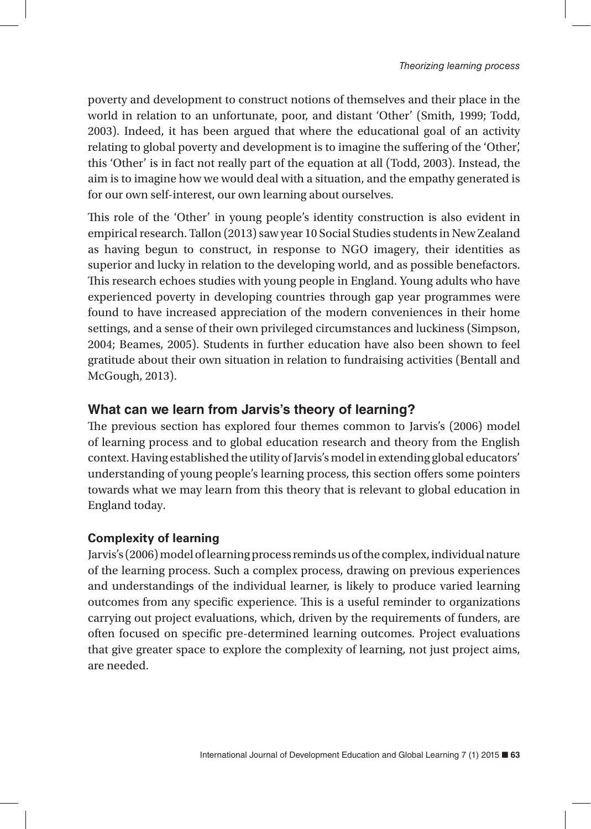poverty and development to construct notions of themselves and their place in the world in relation to an unfortunate, poor, and distant 'Other' (Smith, 1999; Todd, 2003). Indeed, it has been argued that where the educational goal of an activity relating to global poverty and development is to imagine the suffering of the 'Other', this 'Other' is in fact not really part of the equation at all (Todd, 2003). Instead, the aim is to imagine how we would deal with a situation, and the empathy generated is for our own self-interest, our own learning about ourselves.

This role of the 'Other' in young people's identity construction is also evident in empirical research. Tallon (2013) saw year 10 Social Studies students in New Zealand as having begun to construct, in response to NGO imagery, their identities as superior and lucky in relation to the developing world, and as possible benefactors. This research echoes studies with young people in England. Young adults who have experienced poverty in developing countries through gap year programmes were found to have increased appreciation of the modern conveniences in their home settings, and a sense of their own privileged circumstances and luckiness (Simpson, 2004; Beames, 2005). Students in further education have also been shown to feel gratitude about their own situation in relation to fundraising activities (Bentall and McGough, 2013).

# **What can we learn from Jarvis's theory of learning?**

The previous section has explored four themes common to Jarvis's (2006) model of learning process and to global education research and theory from the English context. Having established the utility of Jarvis's model in extending global educators' understanding of young people's learning process, this section offers some pointers towards what we may learn from this theory that is relevant to global education in England today.

## **Complexity of learning**

Jarvis's (2006) model of learning process reminds us of the complex, individual nature of the learning process. Such a complex process, drawing on previous experiences and understandings of the individual learner, is likely to produce varied learning outcomes from any specific experience. This is a useful reminder to organizations carrying out project evaluations, which, driven by the requirements of funders, are often focused on specific pre-determined learning outcomes. Project evaluations that give greater space to explore the complexity of learning, not just project aims, are needed.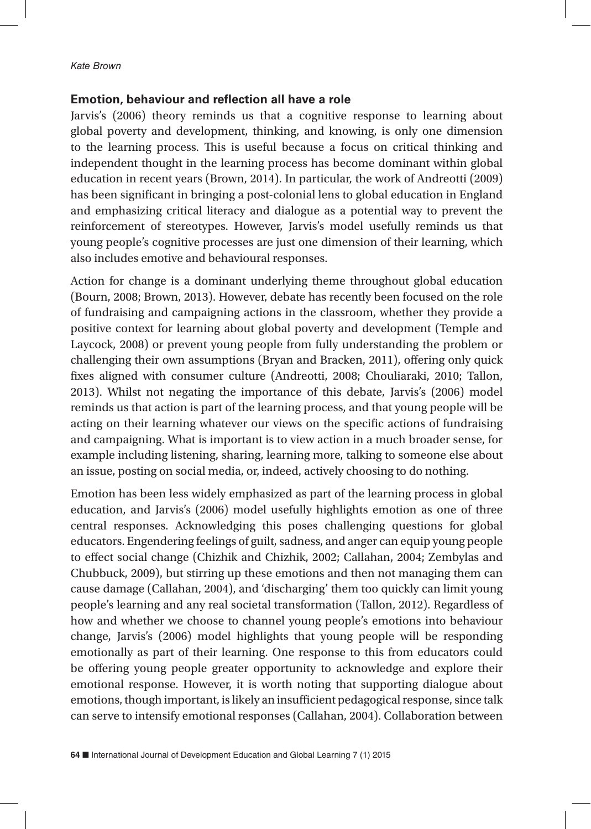#### **Emotion, behaviour and reflection all have a role**

Jarvis's (2006) theory reminds us that a cognitive response to learning about global poverty and development, thinking, and knowing, is only one dimension to the learning process. This is useful because a focus on critical thinking and independent thought in the learning process has become dominant within global education in recent years (Brown, 2014). In particular, the work of Andreotti (2009) has been significant in bringing a post-colonial lens to global education in England and emphasizing critical literacy and dialogue as a potential way to prevent the reinforcement of stereotypes. However, Jarvis's model usefully reminds us that young people's cognitive processes are just one dimension of their learning, which also includes emotive and behavioural responses.

Action for change is a dominant underlying theme throughout global education (Bourn, 2008; Brown, 2013). However, debate has recently been focused on the role of fundraising and campaigning actions in the classroom, whether they provide a positive context for learning about global poverty and development (Temple and Laycock, 2008) or prevent young people from fully understanding the problem or challenging their own assumptions (Bryan and Bracken, 2011), offering only quick fixes aligned with consumer culture (Andreotti, 2008; Chouliaraki, 2010; Tallon, 2013). Whilst not negating the importance of this debate, Jarvis's (2006) model reminds us that action is part of the learning process, and that young people will be acting on their learning whatever our views on the specific actions of fundraising and campaigning. What is important is to view action in a much broader sense, for example including listening, sharing, learning more, talking to someone else about an issue, posting on social media, or, indeed, actively choosing to do nothing.

Emotion has been less widely emphasized as part of the learning process in global education, and Jarvis's (2006) model usefully highlights emotion as one of three central responses. Acknowledging this poses challenging questions for global educators. Engendering feelings of guilt, sadness, and anger can equip young people to effect social change (Chizhik and Chizhik, 2002; Callahan, 2004; Zembylas and Chubbuck, 2009), but stirring up these emotions and then not managing them can cause damage (Callahan, 2004), and 'discharging' them too quickly can limit young people's learning and any real societal transformation (Tallon, 2012). Regardless of how and whether we choose to channel young people's emotions into behaviour change, Jarvis's (2006) model highlights that young people will be responding emotionally as part of their learning. One response to this from educators could be offering young people greater opportunity to acknowledge and explore their emotional response. However, it is worth noting that supporting dialogue about emotions, though important, is likely an insufficient pedagogical response, since talk can serve to intensify emotional responses (Callahan, 2004). Collaboration between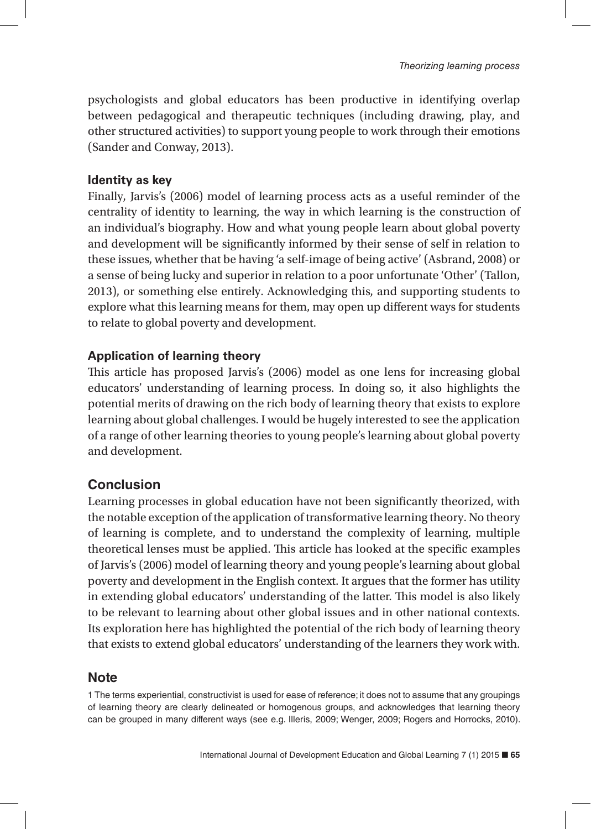psychologists and global educators has been productive in identifying overlap between pedagogical and therapeutic techniques (including drawing, play, and other structured activities) to support young people to work through their emotions (Sander and Conway, 2013).

#### **Identity as key**

Finally, Jarvis's (2006) model of learning process acts as a useful reminder of the centrality of identity to learning, the way in which learning is the construction of an individual's biography. How and what young people learn about global poverty and development will be significantly informed by their sense of self in relation to these issues, whether that be having 'a self-image of being active' (Asbrand, 2008) or a sense of being lucky and superior in relation to a poor unfortunate 'Other' (Tallon, 2013), or something else entirely. Acknowledging this, and supporting students to explore what this learning means for them, may open up different ways for students to relate to global poverty and development.

## **Application of learning theory**

This article has proposed Jarvis's (2006) model as one lens for increasing global educators' understanding of learning process. In doing so, it also highlights the potential merits of drawing on the rich body of learning theory that exists to explore learning about global challenges. I would be hugely interested to see the application of a range of other learning theories to young people's learning about global poverty and development.

# **Conclusion**

Learning processes in global education have not been significantly theorized, with the notable exception of the application of transformative learning theory. No theory of learning is complete, and to understand the complexity of learning, multiple theoretical lenses must be applied. This article has looked at the specific examples of Jarvis's (2006) model of learning theory and young people's learning about global poverty and development in the English context. It argues that the former has utility in extending global educators' understanding of the latter. This model is also likely to be relevant to learning about other global issues and in other national contexts. Its exploration here has highlighted the potential of the rich body of learning theory that exists to extend global educators' understanding of the learners they work with.

# **Note**

1 The terms experiential, constructivist is used for ease of reference; it does not to assume that any groupings of learning theory are clearly delineated or homogenous groups, and acknowledges that learning theory can be grouped in many different ways (see e.g. Illeris, 2009; Wenger, 2009; Rogers and Horrocks, 2010).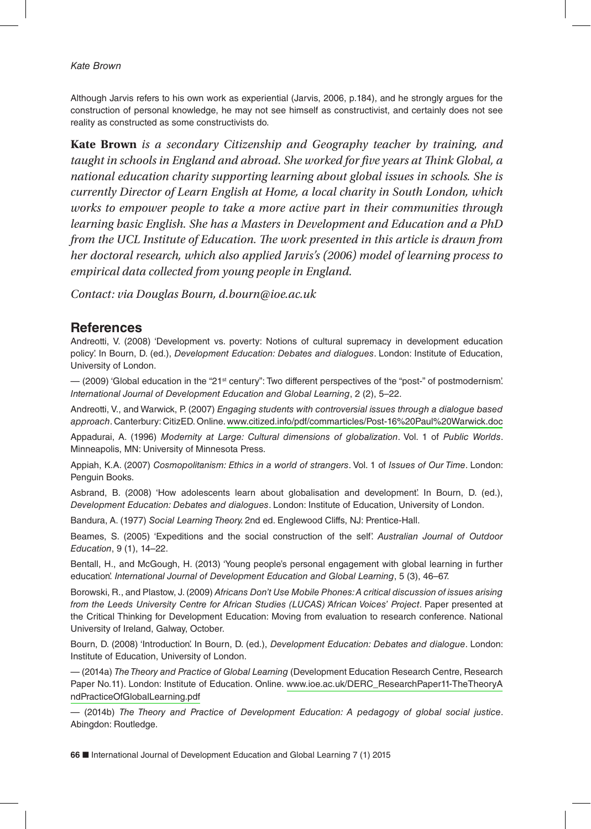Although Jarvis refers to his own work as experiential (Jarvis, 2006, p.184), and he strongly argues for the construction of personal knowledge, he may not see himself as constructivist, and certainly does not see reality as constructed as some constructivists do.

**Kate Brown** *is a secondary Citizenship and Geography teacher by training, and taught in schools in England and abroad. She worked for five years at Think Global, a national education charity supporting learning about global issues in schools. She is currently Director of Learn English at Home, a local charity in South London, which works to empower people to take a more active part in their communities through learning basic English. She has a Masters in Development and Education and a PhD from the UCL Institute of Education. The work presented in this article is drawn from her doctoral research, which also applied Jarvis's (2006) model of learning process to empirical data collected from young people in England.* 

*Contact: via Douglas Bourn, d.bourn@ioe.ac.uk*

#### **References**

Andreotti, V. (2008) 'Development vs. poverty: Notions of cultural supremacy in development education policy'. In Bourn, D. (ed.), *Development Education: Debates and dialogues*. London: Institute of Education, University of London.

— (2009) 'Global education in the "21st century": Two different perspectives of the "post-" of postmodernism'. *International Journal of Development Education and Global Learning*, 2 (2), 5–22.

Andreotti, V., and Warwick, P. (2007) *Engaging students with controversial issues through a dialogue based approach*. Canterbury: CitizED. Online. [www.citized.info/pdf/commarticles/Post-16%20Paul%20Warwick.doc](http://www.citized.info/pdf/commarticles/Post-16%20Paul%20Warwick.doc)

Appadurai, A. (1996) *Modernity at Large: Cultural dimensions of globalization*. Vol. 1 of *Public Worlds*. Minneapolis, MN: University of Minnesota Press.

Appiah, K.A. (2007) *Cosmopolitanism: Ethics in a world of strangers*. Vol. 1 of *Issues of Our Time*. London: Penguin Books.

Asbrand, B. (2008) 'How adolescents learn about globalisation and development'. In Bourn, D. (ed.), *Development Education: Debates and dialogues*. London: Institute of Education, University of London.

Bandura, A. (1977) *Social Learning Theory.* 2nd ed. Englewood Cliffs, NJ: Prentice-Hall.

Beames, S. (2005) 'Expeditions and the social construction of the self'. *Australian Journal of Outdoor Education*, 9 (1), 14–22.

Bentall, H., and McGough, H. (2013) 'Young people's personal engagement with global learning in further education'. *International Journal of Development Education and Global Learning*, 5 (3), 46–67.

Borowski, R., and Plastow, J. (2009) *Africans Don't Use Mobile Phones: A critical discussion of issues arising from the Leeds University Centre for African Studies (LUCAS) 'African Voices' Project*. Paper presented at the Critical Thinking for Development Education: Moving from evaluation to research conference. National University of Ireland, Galway, October.

Bourn, D. (2008) 'Introduction'. In Bourn, D. (ed.), *Development Education: Debates and dialogue*. London: Institute of Education, University of London.

— (2014a) *The Theory and Practice of Global Learning* (Development Education Research Centre, Research Paper No.11). London: Institute of Education. Online. [www.ioe.ac.uk/DERC\\_ResearchPaper11-TheTheoryA](http://www.ioe.ac.uk/DERC_ResearchPaper11-TheTheoryAndPracticeOfGlobalLearning.pdf) [ndPracticeOfGlobalLearning.pdf](http://www.ioe.ac.uk/DERC_ResearchPaper11-TheTheoryAndPracticeOfGlobalLearning.pdf)

— (2014b) *The Theory and Practice of Development Education: A pedagogy of global social justice*. Abingdon: Routledge.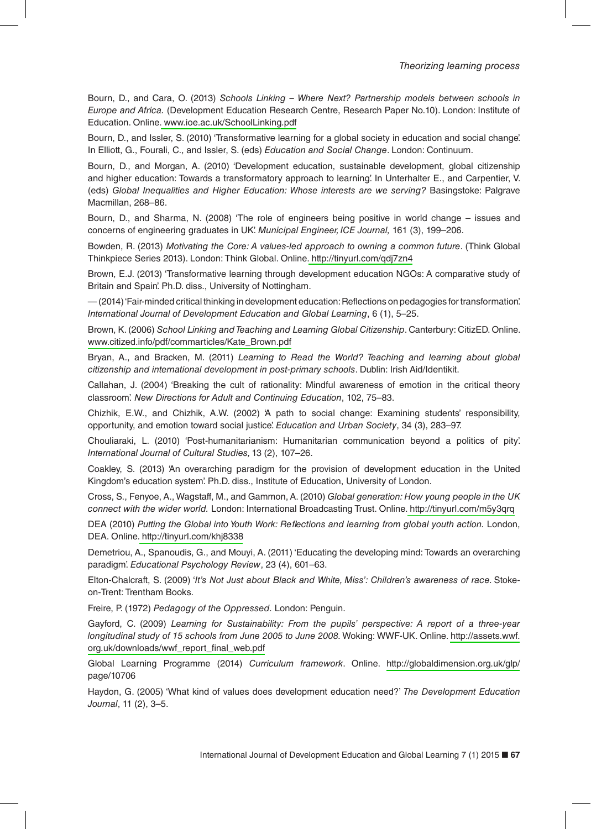Bourn, D., and Cara, O. (2013) *Schools Linking – Where Next? Partnership models between schools in Europe and Africa.* (Development Education Research Centre, Research Paper No.10). London: Institute of Education. Online[. www.ioe.ac.uk/SchoolLinking.pdf](http://www.ioe.ac.uk/SchoolLinking.pdf)

Bourn, D., and Issler, S. (2010) 'Transformative learning for a global society in education and social change'. In Elliott, G., Fourali, C., and Issler, S. (eds) *Education and Social Change*. London: Continuum.

Bourn, D., and Morgan, A. (2010) 'Development education, sustainable development, global citizenship and higher education: Towards a transformatory approach to learning'. In Unterhalter E., and Carpentier, V. (eds) *Global Inequalities and Higher Education: Whose interests are we serving?* Basingstoke: Palgrave Macmillan, 268–86.

Bourn, D., and Sharma, N. (2008) 'The role of engineers being positive in world change – issues and concerns of engineering graduates in UK'. *Municipal Engineer, ICE Journal,* 161 (3), 199–206.

Bowden, R. (2013) *Motivating the Core: A values-led approach to owning a common future*. (Think Global Thinkpiece Series 2013). London: Think Global. Online[. http://tinyurl.com/qdj7zn4](http://tinyurl.com/qdj7zn4)

Brown, E.J. (2013) 'Transformative learning through development education NGOs: A comparative study of Britain and Spain'. Ph.D. diss., University of Nottingham.

— (2014) 'Fair-minded critical thinking in development education: Reflections on pedagogies for transformation'. *International Journal of Development Education and Global Learning*, 6 (1), 5–25.

Brown, K. (2006) *School Linking and Teaching and Learning Global Citizenship*. Canterbury: CitizED. Online. [www.citized.info/pdf/commarticles/Kate\\_Brown.pdf](http://www.citized.info/pdf/commarticles/Kate_Brown.pdf) 

Bryan, A., and Bracken, M. (2011) *Learning to Read the World? Teaching and learning about global citizenship and international development in post-primary schools*. Dublin: Irish Aid/Identikit.

Callahan, J. (2004) 'Breaking the cult of rationality: Mindful awareness of emotion in the critical theory classroom'. *New Directions for Adult and Continuing Education*, 102, 75–83.

Chizhik, E.W., and Chizhik, A.W. (2002) 'A path to social change: Examining students' responsibility, opportunity, and emotion toward social justice'. *Education and Urban Society*, 34 (3), 283–97.

Chouliaraki, L. (2010) 'Post-humanitarianism: Humanitarian communication beyond a politics of pity'. *International Journal of Cultural Studies,* 13 (2), 107–26.

Coakley, S. (2013) 'An overarching paradigm for the provision of development education in the United Kingdom's education system'. Ph.D. diss., Institute of Education, University of London.

Cross, S., Fenyoe, A., Wagstaff, M., and Gammon, A. (2010) *Global generation: How young people in the UK connect with the wider world.* London: International Broadcasting Trust. Online[. http://tinyurl.com/m5y3qrq](http://tinyurl.com/m5y3qrq) 

DEA (2010) *Putting the Global into Youth Work: Reflections and learning from global youth action.* London, DEA. Online[. http://tinyurl.com/khj8338](http://tinyurl.com/khj8338)

Demetriou, A., Spanoudis, G., and Mouyi, A. (2011) 'Educating the developing mind: Towards an overarching paradigm'. *Educational Psychology Review*, 23 (4), 601–63.

Elton-Chalcraft, S. (2009) '*It's Not Just about Black and White, Miss': Children's awareness of race.* Stokeon-Trent: Trentham Books.

Freire, P. (1972) *Pedagogy of the Oppressed.* London: Penguin.

Gayford, C. (2009) *Learning for Sustainability: From the pupils' perspective: A report of a three-year longitudinal study of 15 schools from June 2005 to June 2008.* Woking: WWF-UK. Online. [http://assets.wwf.](http://assets.wwf.org.uk/downloads/wwf_report_final_web.pdf) [org.uk/downloads/wwf\\_report\\_final\\_web.pdf](http://assets.wwf.org.uk/downloads/wwf_report_final_web.pdf)

Global Learning Programme (2014) *Curriculum framework*. Online. <http://globaldimension.org.uk/glp/> page/10706

Haydon, G. (2005) 'What kind of values does development education need?' *The Development Education Journal*, 11 (2), 3–5.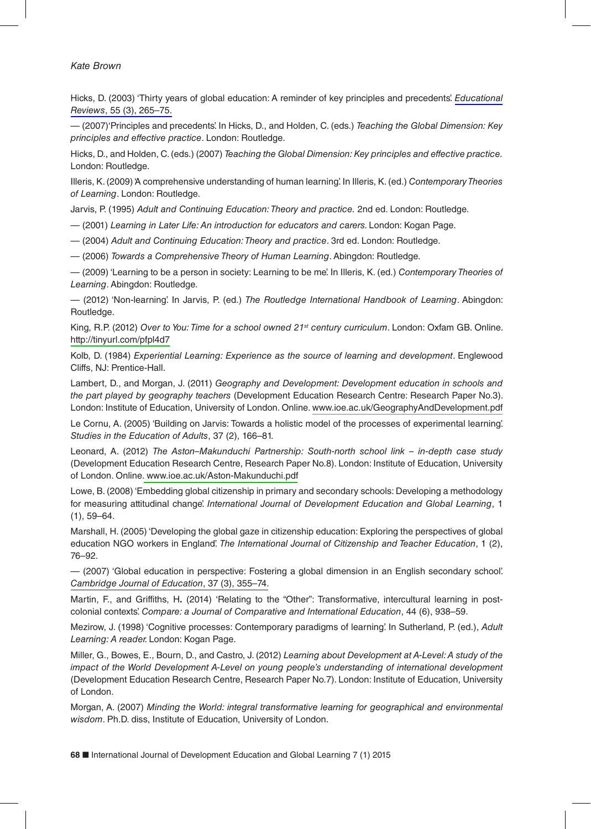Hicks, D. (2003) 'Thirty years of global education: A reminder of key principles and precedents'. *[Educational](http://www.ingentaconnect.com/content/external-references?article=0013-1911()5L.5[aid=10605443]) Reviews*[, 55 \(3\), 265–75.](http://www.ingentaconnect.com/content/external-references?article=0013-1911()5L.5[aid=10605443]) 

— (2007)'Principles and precedents'. In Hicks, D., and Holden, C. (eds.) *Teaching the Global Dimension: Key principles and effective practice*. London: Routledge.

Hicks, D., and Holden, C. (eds.) (2007) *Teaching the Global Dimension: Key principles and effective practice.* London: Routledge.

Illeris, K. (2009) 'A comprehensive understanding of human learning'. In Illeris, K. (ed.) *Contemporary Theories of Learning*. London: Routledge.

Jarvis, P. (1995) *Adult and Continuing Education: Theory and practice.* 2nd ed. London: Routledge.

— (2001) *Learning in Later Life: An introduction for educators and carers.* London: Kogan Page.

— (2004) *Adult and Continuing Education: Theory and practice*. 3rd ed. London: Routledge.

— (2006) *Towards a Comprehensive Theory of Human Learning*. Abingdon: Routledge.

— (2009) 'Learning to be a person in society: Learning to be me'. In Illeris, K. (ed.) *Contemporary Theories of Learning*. Abingdon: Routledge.

— (2012) 'Non-learning'. In Jarvis, P. (ed.) *The Routledge International Handbook of Learning*. Abingdon: Routledge.

King, R.P. (2012) *Over to You: Time for a school owned 21st century curriculum*. London: Oxfam GB. Online. <http://tinyurl.com/pfpl4d7>

Kolb, D. (1984) *Experiential Learning: Experience as the source of learning and development*. Englewood Cliffs, NJ: Prentice-Hall.

Lambert, D., and Morgan, J. (2011) *Geography and Development: Development education in schools and the part played by geography teachers* (Development Education Research Centre: Research Paper No.3). London: Institute of Education, University of London. Online. [www.ioe.ac.uk/GeographyAndDevelopment.pdf](http://www.ioe.ac.uk/GeographyAndDevelopment.pdf)

Le Cornu, A. (2005) 'Building on Jarvis: Towards a holistic model of the processes of experimental learning'. *Studies in the Education of Adults*, 37 (2), 166–81.

Leonard, A. (2012) *The Aston–Makunduchi Partnership: South-north school link – in-depth case study* (Development Education Research Centre, Research Paper No.8). London: Institute of Education, University of London. Online[. www.ioe.ac.uk/Aston-Makunduchi.pdf](http://www.ioe.ac.uk/Aston-Makunduchi.pdf)

Lowe, B. (2008) 'Embedding global citizenship in primary and secondary schools: Developing a methodology for measuring attitudinal change'. *International Journal of Development Education and Global Learning*, 1 (1), 59–64.

Marshall, H. (2005) 'Developing the global gaze in citizenship education: Exploring the perspectives of global education NGO workers in England'. *The International Journal of Citizenship and Teacher Education*, 1 (2), 76–92.

— (2007) 'Global education in perspective: Fostering a global dimension in an English secondary school'. *[Cambridge Journal of Education](http://www.ingentaconnect.com/content/external-references?article=0305-764x()3L.7[aid=10605440])*, 37 (3), 355–74.

Martin, F., and Griffiths, H**.** (2014) 'Relating to the "Other": Transformative, intercultural learning in postcolonial contexts'. *Compare: a Journal of Comparative and International Education*, 44 (6), 938–59.

Mezirow, J. (1998) 'Cognitive processes: Contemporary paradigms of learning'. In Sutherland, P. (ed.), *Adult Learning: A reader.* London: Kogan Page.

Miller, G., Bowes, E., Bourn, D., and Castro, J. (2012) *Learning about Development at A-Level: A study of the impact of the World Development A-Level on young people's understanding of international development* (Development Education Research Centre, Research Paper No.7). London: Institute of Education, University of London.

Morgan, A. (2007) *Minding the World: integral transformative learning for geographical and environmental wisdom*. Ph.D. diss, Institute of Education, University of London.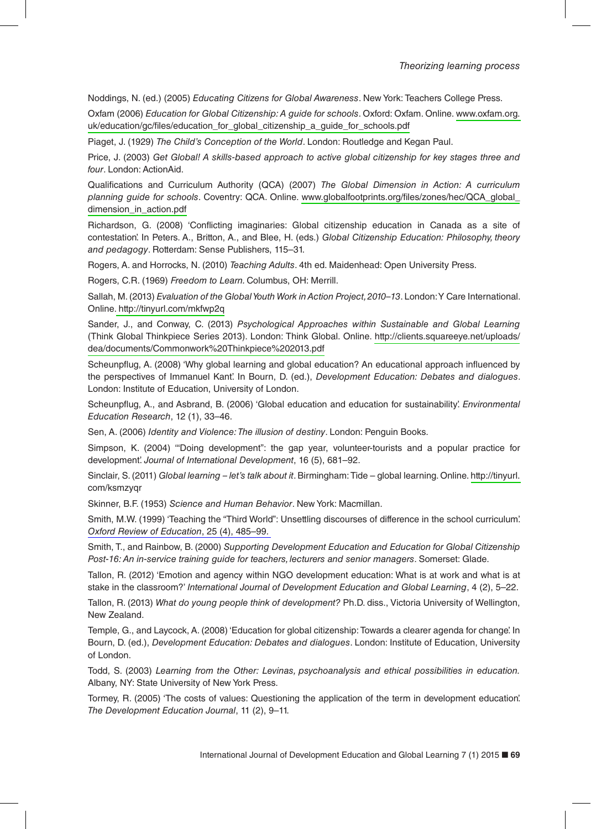Noddings, N. (ed.) (2005) *Educating Citizens for Global Awareness*. New York: Teachers College Press.

Oxfam (2006) *Education for Global Citizenship: A guide for schools*. Oxford: Oxfam. Online. [www.oxfam.org.](http://www.oxfam.org.uk/education/gc/files/education_for_global_citizenship_a_guide_for_schools.pdf) [uk/education/gc/files/education\\_for\\_global\\_citizenship\\_a\\_guide\\_for\\_schools.pdf](http://www.oxfam.org.uk/education/gc/files/education_for_global_citizenship_a_guide_for_schools.pdf) 

Piaget, J. (1929) *The Child's Conception of the World*. London: Routledge and Kegan Paul.

Price, J. (2003) *Get Global! A skills-based approach to active global citizenship for key stages three and four*. London: ActionAid.

Qualifications and Curriculum Authority (QCA) (2007) *The Global Dimension in Action: A curriculum planning guide for schools*. Coventry: QCA. Online. [www.globalfootprints.org/files/zones/hec/QCA\\_global\\_](http://www.globalfootprints.org/files/zones/hec/QCA_global_dimension_in_action.pdf) [dimension\\_in\\_action.pdf](http://www.globalfootprints.org/files/zones/hec/QCA_global_dimension_in_action.pdf) 

Richardson, G. (2008) 'Conflicting imaginaries: Global citizenship education in Canada as a site of contestation'. In Peters. A., Britton, A., and Blee, H. (eds.) *Global Citizenship Education: Philosophy, theory and pedagogy*. Rotterdam: Sense Publishers, 115–31.

Rogers, A. and Horrocks, N. (2010) *Teaching Adults*. 4th ed. Maidenhead: Open University Press.

Rogers, C.R. (1969) *Freedom to Learn.* Columbus, OH: Merrill.

Sallah, M. (2013) *Evaluation of the Global Youth Work in Action Project, 2010–13*. London: Y Care International. Online[. http://tinyurl.com/mkfwp2q](http://tinyurl.com/mkfwp2q)

Sander, J., and Conway, C. (2013) *Psychological Approaches within Sustainable and Global Learning* (Think Global Thinkpiece Series 2013). London: Think Global. Online. [http://clients.squareeye.net/uploads/](http://clients.squareeye.net/uploads/dea/documents/Commonwork%20Thinkpiece%202013.pdf) [dea/documents/Commonwork%20Thinkpiece%202013.pdf](http://clients.squareeye.net/uploads/dea/documents/Commonwork%20Thinkpiece%202013.pdf)

Scheunpflug, A. (2008) 'Why global learning and global education? An educational approach influenced by the perspectives of Immanuel Kant'. In Bourn, D. (ed.), *Development Education: Debates and dialogues*. London: Institute of Education, University of London.

Scheunpflug, A., and Asbrand, B. (2006) 'Global education and education for sustainability'. *Environmental Education Research*, 12 (1), 33–46.

Sen, A. (2006) *Identity and Violence: The illusion of destiny*. London: Penguin Books.

Simpson, K. (2004) '"Doing development": the gap year, volunteer-tourists and a popular practice for development'. *Journal of International Development*, 16 (5), 681–92.

Sinclair, S. (2011) *Global learning – let's talk about it*. Birmingham: Tide – global learning. Online. [http://tinyurl.](http://tinyurl) com/ksmzyqr

Skinner, B.F. (1953) *Science and Human Behavior*. New York: Macmillan.

Smith, M.W. (1999) 'Teaching the "Third World": Unsettling discourses of difference in the school curriculum'. *[Oxford Review of Education](http://www.ingentaconnect.com/content/external-references?article=0305-4985()2L.5[aid=10244918])*, 25 (4), 485–99.

Smith, T., and Rainbow, B. (2000) *Supporting Development Education and Education for Global Citizenship Post-16: An in-service training guide for teachers, lecturers and senior managers*. Somerset: Glade.

Tallon, R. (2012) 'Emotion and agency within NGO development education: What is at work and what is at stake in the classroom?' *International Journal of Development Education and Global Learning*, 4 (2), 5–22.

Tallon, R. (2013) *What do young people think of development?* Ph.D. diss., Victoria University of Wellington, New Zealand.

Temple, G., and Laycock, A. (2008) 'Education for global citizenship: Towards a clearer agenda for change'. In Bourn, D. (ed.), *Development Education: Debates and dialogues*. London: Institute of Education, University of London.

Todd, S. (2003) *Learning from the Other: Levinas, psychoanalysis and ethical possibilities in education.* Albany, NY: State University of New York Press.

Tormey, R. (2005) 'The costs of values: Questioning the application of the term in development education'. *The Development Education Journal*, 11 (2), 9–11.